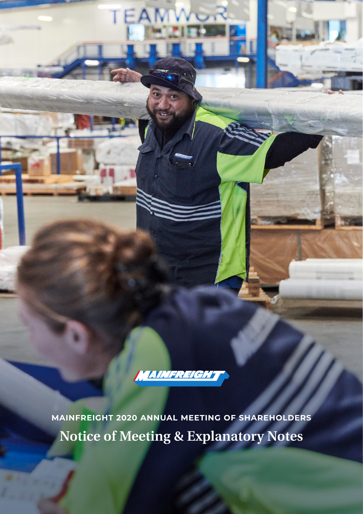

**Notice of Meeting & Explanatory Notes MAINFREIGHT 2020 ANNUAL MEETING OF SHAREHOLDERS**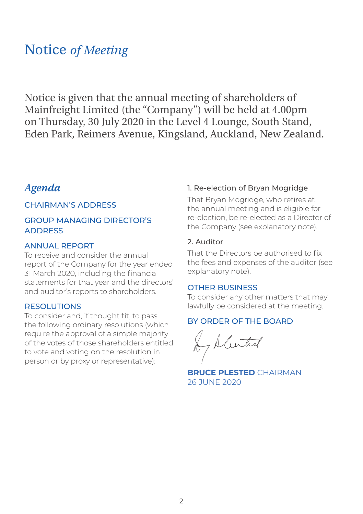## Notice *of Meeting*

Notice is given that the annual meeting of shareholders of Mainfreight Limited (the "Company") will be held at 4.00pm on Thursday, 30 July 2020 in the Level 4 Lounge, South Stand, Eden Park, Reimers Avenue, Kingsland, Auckland, New Zealand.

### *Agenda*

### CHAIRMAN'S ADDRESS

### GROUP MANAGING DIRECTOR'S ADDRESS

### ANNUAL REPORT

To receive and consider the annual report of the Company for the year ended 31 March 2020, including the financial statements for that year and the directors' and auditor's reports to shareholders.

#### RESOLUTIONS

To consider and, if thought fit, to pass the following ordinary resolutions (which require the approval of a simple majority of the votes of those shareholders entitled to vote and voting on the resolution in person or by proxy or representative):

### 1. Re-election of Bryan Mogridge

That Bryan Mogridge, who retires at the annual meeting and is eligible for re-election, be re-elected as a Director of the Company (see explanatory note).

### 2. Auditor

That the Directors be authorised to fix the fees and expenses of the auditor (see explanatory note).

#### OTHER BUSINESS

To consider any other matters that may lawfully be considered at the meeting.

### BY ORDER OF THE BOARD

**BRUCE PLESTED** CHAIRMAN 26 JUNE 2020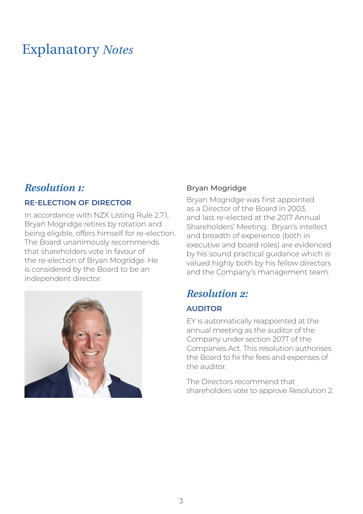## Explanatory *Notes*

### *Resolution 1:*

### **RE-ELECTION OF DIRECTOR**

In accordance with NZX Listing Rule 2.71 Bryan Mogridge retires by rotation and being eligible, offers himself for re-election. The Board unanimously recommends that shareholders vote in favour of the re-election of Bryan Mogridge. He is considered by the Board to be an independent director.



### Bryan Mogridge

Bryan Mogridge was first appointed as a Director of the Board in 2003, and last re-elected at the 2017 Annual Shareholders' Meeting. Bryan's intellect and breadth of experience (both in executive and board roles) are evidenced by his sound practical guidance which is valued highly both by his fellow directors and the Company's management team.

## *Resolution 2:*

### **AUDITOR**

EY is automatically reappointed at the annual meeting as the auditor of the Company under section 207T of the Companies Act. This resolution authorises the Board to fix the fees and expenses of the auditor.

The Directors recommend that shareholders vote to approve Resolution 2.